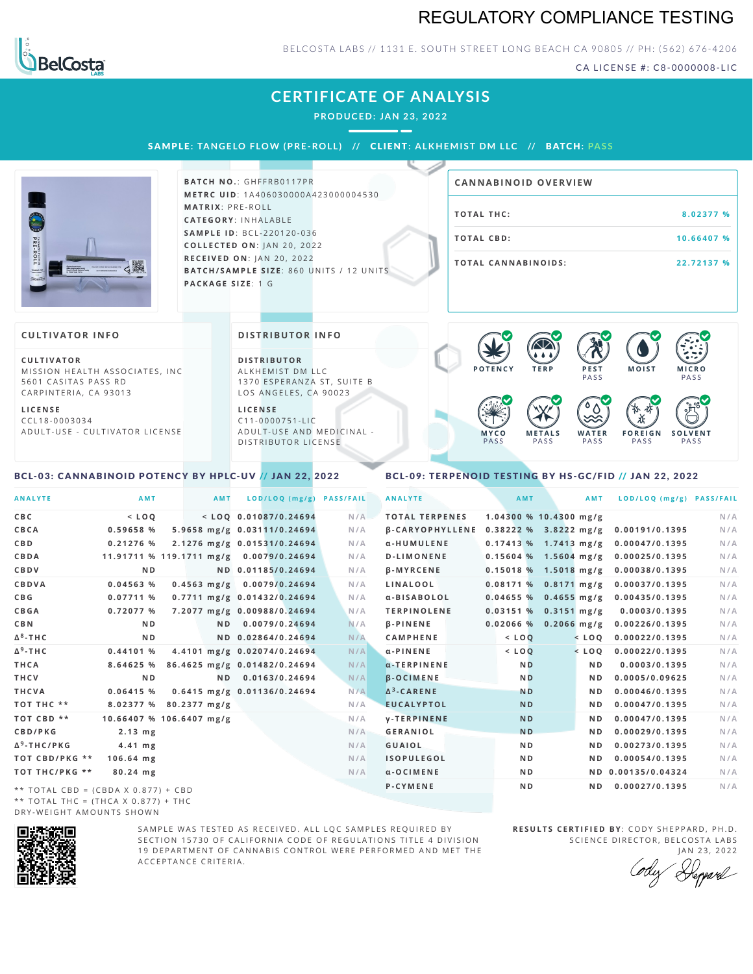## REGULATORY COMPLIANCE TESTING



### BELCOSTA LABS // 1131 E. SOUTH STREET LONG BEACH CA 90805 // PH: (562) 676-4206

CA LICENSE #: C8-0000008-LIC

## **CERTIFICATE OF ANALYSIS**

**PRODUCED: JAN 23, 2022**

SAMPLE: TANGELO FLOW (PRE-ROLL) // CLIENT: ALKHEMIST DM LLC // BATCH: PASS



**BATCH NO.: GHFFRB0117PR M E T R C U ID** :1 A 4 0 6 0 3 0 0 0 0 A 4 2 3 0 0 0 0 0 4 5 3 0 **M AT R I X** :P R E - R O L L **CAT E G O R Y** : I N H A L A B L E **SA M P L E I D** :B C L - 2 2 0 1 2 0 - 0 3 6 **C O L L E C T E D O N** :J A N 2 0 , 2 0 2 2 **R E C E I V E D O N** : J A N 2 0 ,2 0 2 2 **BATCH/SAMPLE SIZE: 860 UNITS / 12 UNITS PAC KA G E S I Z E** : 1 G

| <b>CANNABINOID OVERVIEW</b> |            |
|-----------------------------|------------|
| TOTAL THC:                  | 8.02377 %  |
| TOTAL CBD:                  | 10.66407 % |
| <b>TOTAL CANNABINOIDS:</b>  | 22.72137 % |

#### **CULTIVATOR I N FO**

**C U L T I VAT O R** MISSION HEALTH ASSOCIATES, INC 5601 CASITAS PASS RD CARPINTERIA, CA 93013

**L I C E N S E** C C L 1 8 - 0 0 0 3 0 3 4 A D U L T - U S E - C U L T I V A T O R L I C E N S E **DI STRIBUTOR I N FO**

**D I S T R IB U T O R** ALKHEMIST DM LLC 1370 ESPERANZA ST, SUITE B LOS ANGELES, CA 90023

**L I C E N S E**  $C11 - 0000751 - L$ A D U L T - U S E A N D M E D I C I N A L -DISTRIBUTOR LICENSE



### <span id="page-0-0"></span>BCL-03: CANNABINOID POTENCY BY HPLC-UV // JAN 22, 2022

### <span id="page-0-1"></span>BCL-09: TERPENOID TESTING BY HS-GC/FID // JAN 22, 2022

| <b>ANALYTE</b>                      | AMT                                     | AMT                    |                                | LOD/LOQ (mg/g) PASS/FAIL | <b>ANALYTE</b>                        | AMT            | AMT                     | LOD/LOQ (mg/g) PASS/FAIL |     |
|-------------------------------------|-----------------------------------------|------------------------|--------------------------------|--------------------------|---------------------------------------|----------------|-------------------------|--------------------------|-----|
| C B C                               | $<$ LOQ                                 |                        | $<$ LOQ 0.01087/0.24694        | N/A                      | <b>TOTAL TERPENES</b>                 |                | 1.04300 % 10.4300 mg/g  |                          | N/A |
| CBCA                                | 0.59658 %                               |                        | 5.9658 mg/g 0.03111/0.24694    | N/A                      | B-CARYOPHYLLENE 0.38222 % 3.8222 mg/g |                |                         | 0.00191/0.1395           | N/A |
| C B D                               | 0.21276%                                |                        | 2.1276 mg/g 0.01531/0.24694    | N/A                      | α-HUMULENE                            |                | $0.17413$ % 1.7413 mg/g | 0.00047/0.1395           | N/A |
| CBDA                                | 11.91711 % 119.1711 mg/g 0.0079/0.24694 |                        |                                | N/A                      | <b>D-LIMONENE</b>                     |                | $0.15604$ % 1.5604 mg/g | 0.00025/0.1395           | N/A |
| CBDV                                | N <sub>D</sub>                          |                        | ND 0.01185/0.24694             | N/A                      | <b>B-MYRCENE</b>                      |                | $0.15018$ % 1.5018 mg/g | 0.00038/0.1395           | N/A |
| CBDVA                               | 0.04563%                                |                        | $0.4563$ mg/g $0.0079/0.24694$ | N/A                      | <b>LINALOOL</b>                       |                | $0.08171%$ 0.8171 mg/g  | 0.00037/0.1395           | N/A |
| C B G                               | 0.07711%                                |                        | 0.7711 mg/g 0.01432/0.24694    | N/A                      | α-BISABOLOL                           |                | $0.04655%$ 0.4655 mg/g  | 0.00435/0.1395           | N/A |
| CBGA                                | 0.72077 %                               |                        | 7.2077 mg/g 0.00988/0.24694    | N/A                      | <b>TERPINOLENE</b>                    |                | $0.03151%$ 0.3151 mg/g  | 0.0003/0.1395            | N/A |
| C B N                               | N <sub>D</sub>                          | N <sub>D</sub>         | 0.0079/0.24694                 | N/A                      | <b>B-PINENE</b>                       |                | $0.02066$ % 0.2066 mg/g | 0.00226/0.1395           | N/A |
| Δ <sup>8</sup> -ΤΗC                 | N <sub>D</sub>                          |                        | ND 0.02864/0.24694             | N/A                      | <b>CAMPHENE</b>                       | $<$ LOQ        | $<$ LOQ                 | 0.00022/0.1395           | N/A |
| Δ <sup>9</sup> -ΤΗ C                | 0.44101%                                |                        | 4.4101 mg/g 0.02074/0.24694    | N/A                      | $\alpha$ -PINENE                      | $<$ LOQ        | $<$ LOQ                 | 0.00022/0.1395           | N/A |
| THCA                                | 8.64625 %                               |                        | 86.4625 mg/g 0.01482/0.24694   | N/A                      | α-TERPINENE                           | <b>ND</b>      | N <sub>D</sub>          | 0.0003/0.1395            | N/A |
| THCV                                | N <sub>D</sub>                          |                        | ND 0.0163/0.24694              | N/A                      | <b>B-OCIMENE</b>                      | <b>ND</b>      | N <sub>D</sub>          | 0.0005/0.09625           | N/A |
| THCVA                               | $0.06415$ %                             |                        | 0.6415 mg/g 0.01136/0.24694    | N/A                      | $\Delta^3$ -CARENE                    | <b>ND</b>      | N <sub>D</sub>          | 0.00046/0.1395           | N/A |
| тот тнс **                          | 8.02377 %                               | $80.2377 \text{ mg/g}$ |                                | N/A                      | <b>EUCALYPTOL</b>                     | <b>ND</b>      | N <sub>D</sub>          | 0.00047/0.1395           | N/A |
| TOT CBD **                          | 10.66407 % 106.6407 mg/g                |                        |                                | N/A                      | <b>V-TERPINENE</b>                    | <b>ND</b>      | N <sub>D</sub>          | 0.00047/0.1395           | N/A |
| CBD/PKG                             | $2.13$ mg                               |                        |                                | N/A                      | <b>GERANIOL</b>                       | <b>ND</b>      | N <sub>D</sub>          | 0.00029/0.1395           | N/A |
| Δ <sup>9</sup> -THC/PKG             | $4.41$ mg                               |                        |                                | N/A                      | <b>GUAIOL</b>                         | N <sub>D</sub> | N <sub>D</sub>          | 0.00273/0.1395           | N/A |
| ТОТ СВD/РКG **                      | $106.64$ mg                             |                        |                                | N/A                      | <b>ISOPULEGOL</b>                     | N <sub>D</sub> | N <sub>D</sub>          | 0.00054/0.1395           | N/A |
| ТОТ ТНС/РКG **                      | 80.24 mg                                |                        |                                | N/A                      | $a - O$ C I M E N E                   | N <sub>D</sub> |                         | ND 0.00135/0.04324       | N/A |
| ** TOTAL CBD = (CBDA X 0.877) + CBD |                                         |                        |                                |                          | <b>P-CYMENE</b>                       | N <sub>D</sub> | ND.                     | 0.00027/0.1395           | N/A |
|                                     |                                         |                        |                                |                          |                                       |                |                         |                          |     |

\* \* T O T A L C B D = ( C B D A X 0 . 8 7 7 ) + C B D \*\* TOTAL THC = (THCA X  $0.877$ ) + THC DRY-WEIGHT AMOUNTS SHOWN



SAMPLE WAS TESTED AS RECEIVED. ALL LOC SAMPLES REOUIRED BY SECTION 15730 OF CALIFORNIA CODE OF REGULATIONS TITLE 4 DIVISION 19 DEPARTMENT OF CANNABIS CONTROL WERE PERFORMED AND MET THE A C C E P T A N C E C R I T E R I A.

**RESULTS CERTIFIED BY: CODY SHEPPARD, PH.D.** SCIENCE DIRECTOR, BELCOSTA LABS JAN 23, 2022

Depard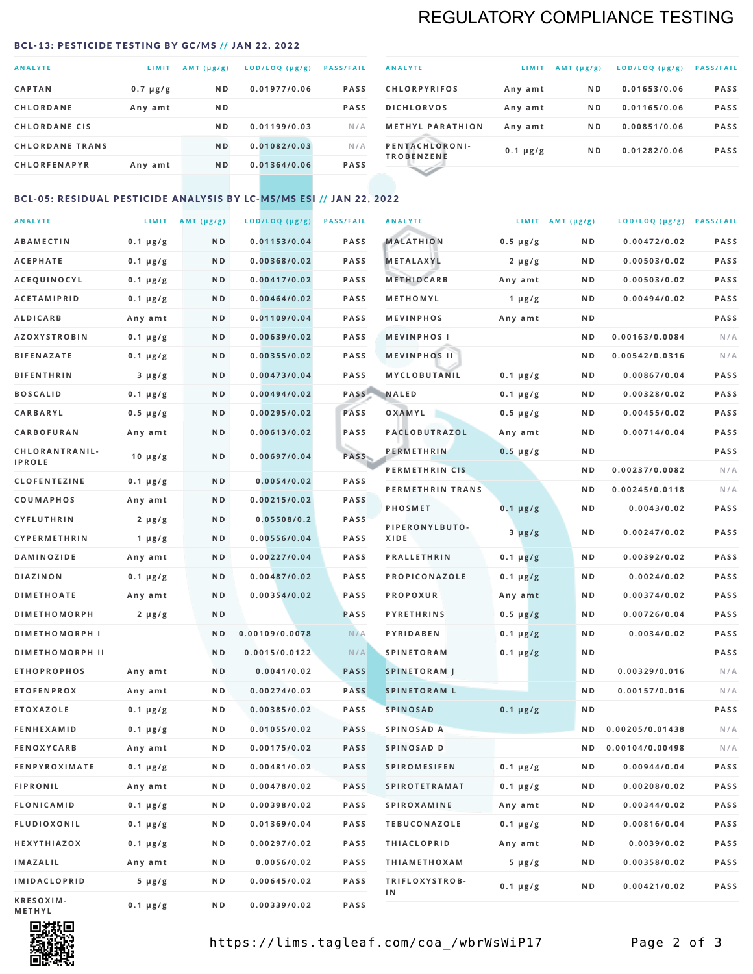## REGULATORY COMPLIANCE TESTING

#### <span id="page-1-0"></span>BCL-13: PESTICIDE TESTING BY GC/MS // JAN 22, 2022

| <b>ANALYTE</b>         | LIMIT         | AMT $(\mu g/g)$ | LOD/LOQ (µg/g) | <b>PASS/FAIL</b> |
|------------------------|---------------|-----------------|----------------|------------------|
| CAPTAN                 | $0.7 \mu g/g$ | N <sub>D</sub>  | 0.01977/0.06   | <b>PASS</b>      |
| <b>CHLORDANE</b>       | Any amt       | N <sub>D</sub>  |                | <b>PASS</b>      |
| <b>CHLORDANE CIS</b>   |               | N <sub>D</sub>  | 0.01199/0.03   | N/A              |
| <b>CHLORDANE TRANS</b> |               | N <sub>D</sub>  | 0.01082/0.03   | N/A              |
| <b>CHLORFENAPYR</b>    | Any amt       | N <sub>D</sub>  | 0.01364/0.06   | <b>PASS</b>      |
|                        |               |                 |                |                  |

| <b>ANALYTE</b>                      | LIMIT         | $AMT(\mu g/g)$ | LOD/LOQ (µg/g) | <b>PASS/FAIL</b> |
|-------------------------------------|---------------|----------------|----------------|------------------|
| <b>CHLORPYRIFOS</b>                 | Any amt       | N <sub>D</sub> | 0.01653/0.06   | <b>PASS</b>      |
| <b>DICHLORVOS</b>                   | Any amt       | N <sub>D</sub> | 0.01165/0.06   | <b>PASS</b>      |
| <b>METHYL PARATHION</b>             | Any amt       | N <sub>D</sub> | 0.00851/0.06   | <b>PASS</b>      |
| PENTACHLORONI-<br><b>TROBENZENE</b> | $0.1 \mu g/g$ | N <sub>D</sub> | 0.01282/0.06   | <b>PASS</b>      |
|                                     |               |                |                |                  |

## BCL-05: RESIDUAL PESTICIDE ANALYSIS BY LC-MS/MS ESI // JAN 22, 2022

| <b>ANALYTE</b>         |                  | LIMIT $AMT (\mu g/g)$ | LOD/LOQ (µg/g) | <b>PASS/FAIL</b> | <b>ANALYTE</b>       |                  | LIMIT AMT $(\mu g/g)$ | LOD/LOQ (µg/g) PASS/FAIL |             |
|------------------------|------------------|-----------------------|----------------|------------------|----------------------|------------------|-----------------------|--------------------------|-------------|
| <b>ABAMECTIN</b>       | $0.1 \mu g/g$    | N D                   | 0.01153/0.04   | <b>PASS</b>      | <b>MALATHION</b>     | $0.5 \mu g/g$    | N D                   | 0.00472/0.02             | <b>PASS</b> |
| <b>ACEPHATE</b>        | $0.1 \mu g/g$    | N D                   | 0.00368/0.02   | <b>PASS</b>      | <b>METALAXYL</b>     | $2 \mu g/g$      | N D                   | 0.00503/0.02             | PASS        |
| ACEQUINOCYL            | $0.1 \mu g/g$    | N D                   | 0.00417/0.02   | <b>PASS</b>      | <b>METHIOCARB</b>    | Any amt          | N D                   | 0.00503/0.02             | PASS        |
| <b>ACETAMIPRID</b>     | $0.1 \mu g/g$    | N D                   | 0.00464/0.02   | PASS             | METHOMYL             | 1 $\mu$ g/g      | N D                   | 0.00494/0.02             | PASS        |
| <b>ALDICARB</b>        | Any amt          | ND                    | 0.01109/0.04   | <b>PASS</b>      | <b>MEVINPHOS</b>     | Any amt          | N D                   |                          | PASS        |
| <b>AZOXYSTROBIN</b>    | $0.1 \mu g/g$    | N D                   | 0.00639/0.02   | <b>PASS</b>      | <b>MEVINPHOSI</b>    |                  | N D                   | 0.00163/0.0084           | N/A         |
| <b>BIFENAZATE</b>      | $0.1 \mu g/g$    | N D                   | 0.00355/0.02   | <b>PASS</b>      | <b>MEVINPHOS II</b>  |                  | N D                   | 0.00542/0.0316           | N/A         |
| <b>BIFENTHRIN</b>      | $3 \mu g/g$      | ND                    | 0.00473/0.04   | <b>PASS</b>      | MYCLOBUTANIL         | $0.1 \mu g/g$    | N D                   | 0.00867/0.04             | PASS        |
| <b>BOSCALID</b>        | $0.1 \mu g/g$    | N D                   | 0.00494/0.02   |                  | PASS NALED           | 0.1 µg/g         | N D                   | 0.00328/0.02             | PASS        |
| CARBARYL               | $0.5 \, \mu g/g$ | N D                   | 0.00295/0.02   | PASS             | OXAMYL               | $0.5 \, \mu g/g$ | N D                   | 0.00455/0.02             | PASS        |
| CARBOFURAN             | Any amt          | N D                   | 0.00613/0.02   | PASS             | PACLOBUTRAZOL        | Any amt          | N D                   | 0.00714/0.04             | PASS        |
| CHLORANTRANIL-         | $10 \mu g/g$     | N D                   | 0.00697/0.04   | PASS             | <b>PERMETHRIN</b>    | $0.5 \mu g/g$    | N D                   |                          | PASS        |
| <b>IPROLE</b>          |                  |                       |                |                  | PERMETHRIN CIS       |                  | N D                   | 0.00237/0.0082           | N/A         |
| <b>CLOFENTEZINE</b>    | $0.1 \mu g/g$    | N D                   | 0.0054/0.02    | <b>PASS</b>      | PERMETHRIN TRANS     |                  | N D                   | 0.00245/0.0118           | N/A         |
| COUMAPHOS              | Any amt          | N D                   | 0.00215/0.02   | PASS             | <b>PHOSMET</b>       | $0.1 \mu g/g$    | N D                   | 0.0043/0.02              | PASS        |
| CYFLUTHRIN             | $2 \mu g/g$      | N D                   | 0.05508/0.2    | <b>PASS</b>      | PIPERONYLBUTO-       | $3 \mu g/g$      | N D                   | 0.00247/0.02             | PASS        |
| <b>CYPERMETHRIN</b>    | 1 $\mu$ g/g      | N D                   | 0.00556/0.04   | <b>PASS</b>      | XIDE                 |                  |                       |                          |             |
| <b>DAMINOZIDE</b>      | Any amt          | N D                   | 0.00227/0.04   | PASS             | <b>PRALLETHRIN</b>   | $0.1 \mu g/g$    | N D                   | 0.00392/0.02             | PASS        |
| <b>DIAZINON</b>        | $0.1 \mu g/g$    | N D                   | 0.00487/0.02   | <b>PASS</b>      | PROPICONAZOLE        | $0.1 \mu g/g$    | N D                   | 0.0024/0.02              | PASS        |
| <b>DIMETHOATE</b>      | Any amt          | N D                   | 0.00354/0.02   | <b>PASS</b>      | <b>PROPOXUR</b>      | Any amt          | N D                   | 0.00374/0.02             | PASS        |
| <b>DIMETHOMORPH</b>    | $2 \mu g/g$      | N D                   |                | <b>PASS</b>      | <b>PYRETHRINS</b>    | $0.5 \mu g/g$    | N D                   | 0.00726/0.04             | PASS        |
| <b>DIMETHOMORPH I</b>  |                  | N D                   | 0.00109/0.0078 | N/A              | <b>PYRIDABEN</b>     | $0.1 \mu g/g$    | N D                   | 0.0034/0.02              | PASS        |
| <b>DIMETHOMORPH II</b> |                  | ND                    | 0.0015/0.0122  | N/A              | <b>SPINETORAM</b>    | $0.1 \mu g/g$    | N D                   |                          | PASS        |
| <b>ETHOPROPHOS</b>     | Any amt          | N D                   | 0.0041/0.02    | <b>PASS</b>      | <b>SPINETORAM J</b>  |                  | N D                   | 0.00329/0.016            | N/A         |
| <b>ETOFENPROX</b>      | Any amt          | N D                   | 0.00274/0.02   | <b>PASS</b>      | <b>SPINETORAM L</b>  |                  | N D                   | 0.00157/0.016            | N/A         |
| <b>ETOXAZOLE</b>       | $0.1 \mu g/g$    | N D                   | 0.00385/0.02   | PASS             | <b>SPINOSAD</b>      | $0.1 \mu g/g$    | N D                   |                          | PASS        |
| <b>FENHEXAMID</b>      | $0.1 \mu g/g$    | N D                   | 0.01055/0.02   | <b>PASS</b>      | SPINOSAD A           |                  | N D                   | 0.00205/0.01438          | N/A         |
| <b>FENOXYCARB</b>      | Any amt          | N D                   | 0.00175/0.02   | <b>PASS</b>      | SPINOSAD D           |                  | N D                   | 0.00104/0.00498          | N/A         |
| <b>FENPYROXIMATE</b>   | 0.1 µg/g         | N D                   | 0.00481/0.02   | <b>PASS</b>      | SPIROMESIFEN         | 0.1 µg/g         | N D                   | 0.00944/0.04             | PASS        |
| <b>FIPRONIL</b>        | Any amt          | N D                   | 0.00478/0.02   | PASS             | <b>SPIROTETRAMAT</b> | $0.1 \, \mu g/g$ | N D                   | 0.00208/0.02             | PASS        |
| FLONICAMID             | $0.1 \mu g/g$    | N D                   | 0.00398/0.02   | PASS             | SPIROXAMINE          | Any amt          | N D                   | 0.00344/0.02             | PASS        |
| <b>FLUDIOXONIL</b>     | $0.1 \mu g/g$    | N D                   | 0.01369/0.04   | PASS             | <b>TEBUCONAZOLE</b>  | $0.1 \mu g/g$    | N D                   | 0.00816/0.04             | PASS        |
| HEXYTHIAZOX            | $0.1 \mu g/g$    | N D                   | 0.00297/0.02   | PASS             | <b>THIACLOPRID</b>   | Any amt          | N D                   | 0.0039/0.02              | PASS        |
| <b>IMAZALIL</b>        | Any amt          | N D                   | 0.0056/0.02    | PASS             | <b>THIAMETHOXAM</b>  | $5 \mu g/g$      | N D                   | 0.00358/0.02             | PASS        |
| <b>IMIDACLOPRID</b>    | 5 µg/g           | N D                   | 0.00645/0.02   | <b>PASS</b>      | TRIFLOXYSTROB-<br>ΙN | $0.1 \mu g/g$    | N D                   | 0.00421/0.02             | PASS        |
| KRESOXIM-<br>METHYL    | $0.1 \mu g/g$    | N D                   | 0.00339/0.02   | PASS             |                      |                  |                       |                          |             |